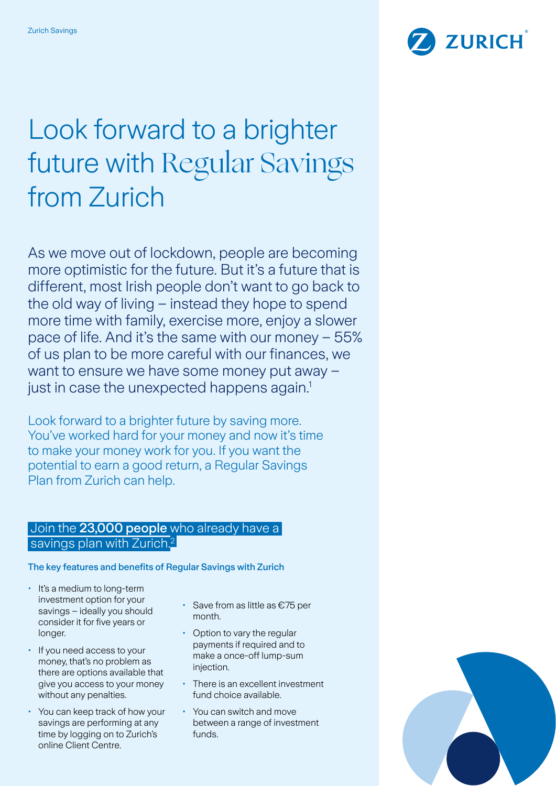

# Look forward to a brighter future with Regular Savings from Zurich

As we move out of lockdown, people are becoming more optimistic for the future. But it's a future that is different, most Irish people don't want to go back to the old way of living – instead they hope to spend more time with family, exercise more, enjoy a slower pace of life. And it's the same with our money – 55% of us plan to be more careful with our finances, we want to ensure we have some money put away – just in case the unexpected happens again.<sup>1</sup>

Look forward to a brighter future by saving more. You've worked hard for your money and now it's time to make your money work for you. If you want the potential to earn a good return, a Regular Savings Plan from Zurich can help.

### Join the 23,000 people who already have a savings plan with Zurich.<sup>2</sup>

The key features and benefits of Regular Savings with Zurich

- It's a medium to long-term investment option for your savings – ideally you should consider it for five years or longer.
- If you need access to your money, that's no problem as there are options available that give you access to your money without any penalties.
- You can keep track of how your savings are performing at any time by logging on to Zurich's online Client Centre.
- Save from as little as €75 per month.
- Option to vary the regular payments if required and to make a once-off lump-sum injection.
- There is an excellent investment fund choice available.
- You can switch and move between a range of investment funds.

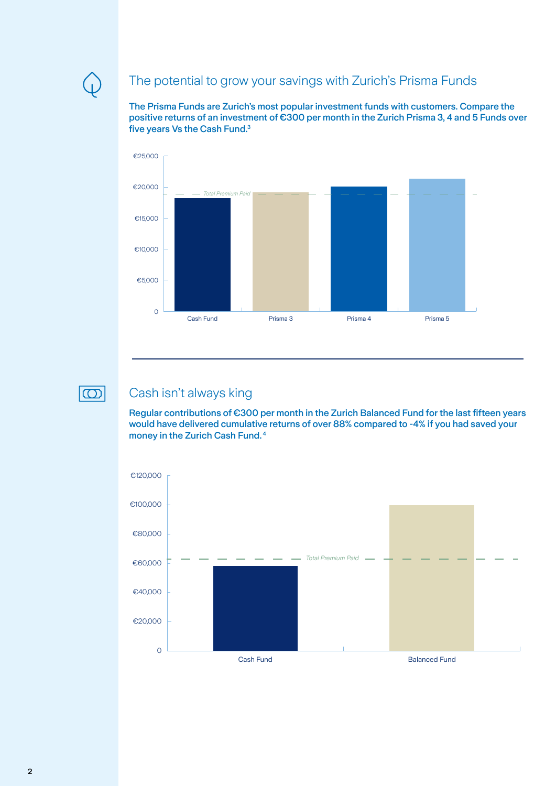

#### The potential to grow your savings with Zurich's Prisma Funds

The Prisma Funds are Zurich's most popular investment funds with customers. Compare the positive returns of an investment of €300 per month in the Zurich Prisma 3, 4 and 5 Funds over five years Vs the Cash Fund.3



 $\circ$ 

## Cash isn't always king

Regular contributions of €300 per month in the Zurich Balanced Fund for the last fifteen years would have delivered cumulative returns of over 88% compared to -4% if you had saved your money in the Zurich Cash Fund. 4

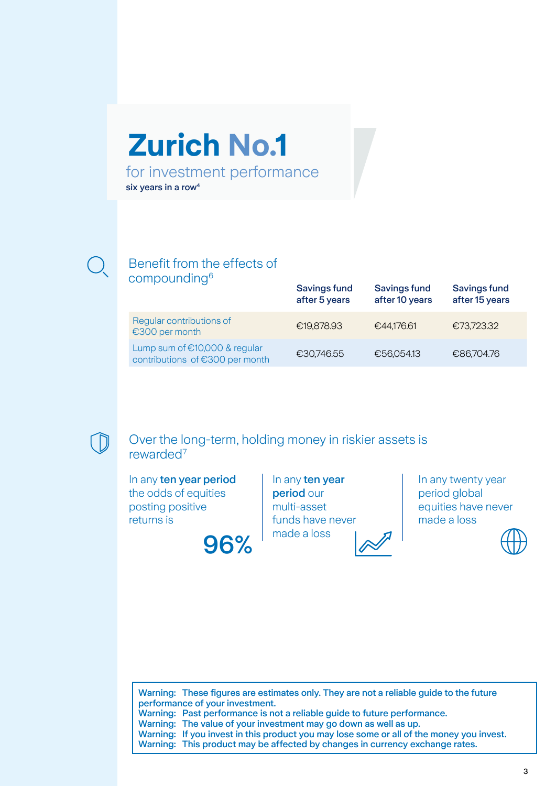## for investment performance **Zurich No.1**

six years in a row4

#### Benefit from the effects of compounding6

|                                                                  | <b>Savings fund</b><br>after 5 years | Savings fund<br>after 10 years | <b>Savings fund</b><br>after 15 years |
|------------------------------------------------------------------|--------------------------------------|--------------------------------|---------------------------------------|
| Regular contributions of<br>$£300$ per month                     | €19,878.93                           | €44,176.61                     | €73,723.32                            |
| Lump sum of €10,000 & regular<br>contributions of €300 per month | €30,746.55                           | €56,054.13                     | €86,704.76                            |

## Over the long-term, holding money in riskier assets is rewarded7

In any ten year period the odds of equities posting positive returns is

96%

In any ten year period our multi-asset funds have never made a loss



In any twenty year period global equities have never made a loss



Warning: These figures are estimates only. They are not a reliable guide to the future performance of your investment. Warning: Past performance is not a reliable guide to future performance. Warning: The value of your investment may go down as well as up. Warning: If you invest in this product you may lose some or all of the money you invest. Warning: This product may be affected by changes in currency exchange rates.